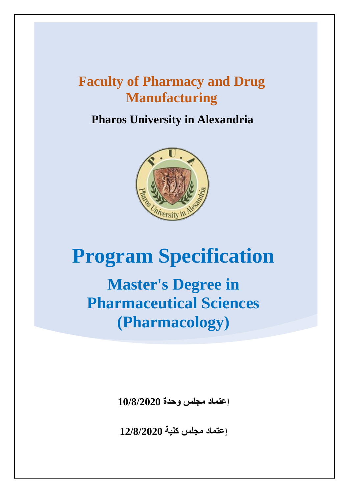**Pharos University in Alexandria**



# **Program Specification**

**Master's Degree in Pharmaceutical Sciences (Pharmacology)**

**إعتماد مجلس وحدة 10/8/2020**

**إعتماد مجلس كلية 12/8/2020**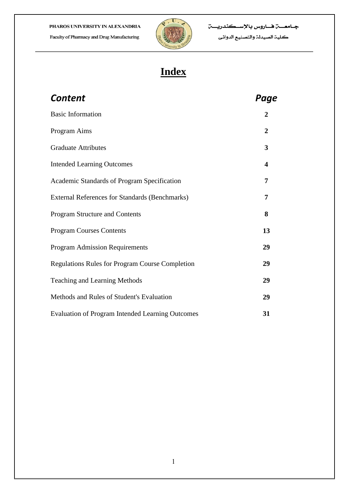

## **Index**

| <b>Content</b>                                          | Page                    |
|---------------------------------------------------------|-------------------------|
| <b>Basic Information</b>                                | $\overline{2}$          |
| Program Aims                                            | $\overline{2}$          |
| <b>Graduate Attributes</b>                              | 3                       |
| <b>Intended Learning Outcomes</b>                       | $\overline{\mathbf{4}}$ |
| Academic Standards of Program Specification             | 7                       |
| <b>External References for Standards (Benchmarks)</b>   | 7                       |
| Program Structure and Contents                          | 8                       |
| <b>Program Courses Contents</b>                         | 13                      |
| <b>Program Admission Requirements</b>                   | 29                      |
| <b>Regulations Rules for Program Course Completion</b>  | 29                      |
| <b>Teaching and Learning Methods</b>                    | 29                      |
| Methods and Rules of Student's Evaluation               | 29                      |
| <b>Evaluation of Program Intended Learning Outcomes</b> | 31                      |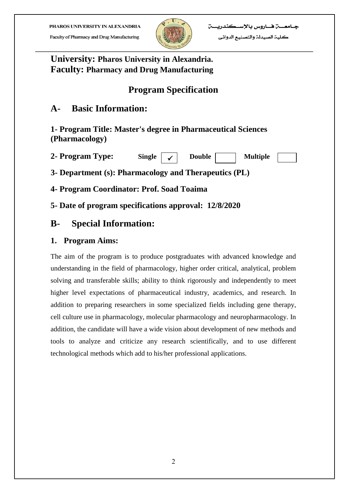Faculty of Pharmacy and Drug Manufacturing



## **University: Pharos University in Alexandria. Faculty: Pharmacy and Drug Manufacturing**

## **Program Specification**

## **A- Basic Information:**

**1- Program Title: Master's degree in Pharmaceutical Sciences (Pharmacology)**

| 2- Program Type: | Single $\vert \checkmark$ | Double | <b>Multiple</b> |  |
|------------------|---------------------------|--------|-----------------|--|
|------------------|---------------------------|--------|-----------------|--|

**3- Department (s): Pharmacology and Therapeutics (PL)**

**4- Program Coordinator: Prof. Soad Toaima**

**5- Date of program specifications approval: 12/8/2020**

## **B- Special Information:**

## **1. Program Aims:**

The aim of the program is to produce postgraduates with advanced knowledge and understanding in the field of pharmacology, higher order critical, analytical, problem solving and transferable skills; ability to think rigorously and independently to meet higher level expectations of pharmaceutical industry, academics, and research. In addition to preparing researchers in some specialized fields including gene therapy, cell culture use in pharmacology, molecular pharmacology and neuropharmacology. In addition, the candidate will have a wide vision about development of new methods and tools to analyze and criticize any research scientifically, and to use different technological methods which add to his/her professional applications.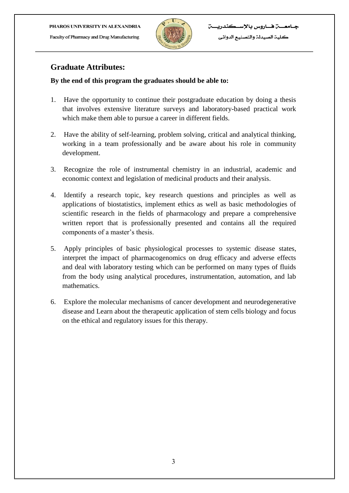Faculty of Pharmacy and Drug Manufacturing



كلية الصيدلة والتصنيع الدوائي

### **Graduate Attributes:**

#### **By the end of this program the graduates should be able to:**

- 1. Have the opportunity to continue their postgraduate education by doing a thesis that involves extensive literature surveys and laboratory-based practical work which make them able to pursue a career in different fields.
- 2. Have the ability of self-learning, problem solving, critical and analytical thinking, working in a team professionally and be aware about his role in community development.
- 3. Recognize the role of instrumental chemistry in an industrial, academic and economic context and legislation of medicinal products and their analysis.
- 4. Identify a research topic, key research questions and principles as well as applications of biostatistics, implement ethics as well as basic methodologies of scientific research in the fields of pharmacology and prepare a comprehensive written report that is professionally presented and contains all the required components of a master's thesis.
- 5. Apply principles of basic physiological processes to systemic disease states, interpret the impact of pharmacogenomics on drug efficacy and adverse effects and deal with laboratory testing which can be performed on many types of fluids from the body using analytical procedures, instrumentation, automation, and lab mathematics.
- 6. Explore the molecular mechanisms of cancer development and neurodegenerative disease and Learn about the therapeutic application of stem cells biology and focus on the ethical and regulatory issues for this therapy.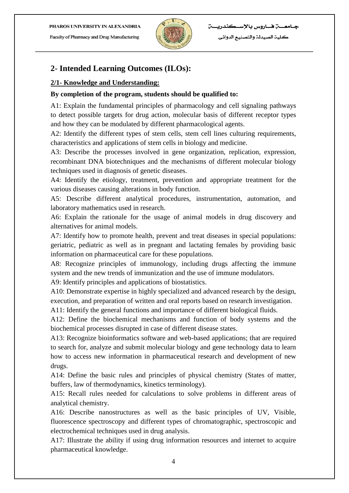Faculty of Pharmacy and Drug Manufacturing



كلية الصيدلة والتصنيع الدوائي

## **2- Intended Learning Outcomes (ILOs):**

#### **2/1- Knowledge and Understanding:**

#### **By completion of the program, students should be qualified to:**

A1: Explain the fundamental principles of pharmacology and cell signaling pathways to detect possible targets for drug action, molecular basis of different receptor types and how they can be modulated by different pharmacological agents.

A2: Identify the different types of stem cells, stem cell lines culturing requirements, characteristics and applications of stem cells in biology and medicine.

A3: Describe the processes involved in gene organization, replication, expression, recombinant DNA biotechniques and the mechanisms of different molecular biology techniques used in diagnosis of genetic diseases.

A4: Identify the etiology, treatment, prevention and appropriate treatment for the various diseases causing alterations in body function.

A5: Describe different analytical procedures, instrumentation, automation, and laboratory mathematics used in research.

A6: Explain the rationale for the usage of animal models in drug discovery and alternatives for animal models.

A7: Identify how to promote health, prevent and treat diseases in special populations: geriatric, pediatric as well as in pregnant and lactating females by providing basic information on pharmaceutical care for these populations.

A8: Recognize principles of immunology, including drugs affecting the immune system and the new trends of immunization and the use of immune modulators.

A9: Identify principles and applications of biostatistics.

A10: Demonstrate expertise in highly specialized and advanced research by the design, execution, and preparation of written and oral reports based on research investigation.

A11: Identify the general functions and importance of different biological fluids.

A12: Define the biochemical mechanisms and function of body systems and the biochemical processes disrupted in case of different disease states.

A13: Recognize bioinformatics software and web-based applications; that are required to search for, analyze and submit molecular biology and gene technology data to learn how to access new information in pharmaceutical research and development of new drugs.

A14: Define the basic rules and principles of physical chemistry (States of matter, buffers, law of thermodynamics, kinetics terminology).

A15: Recall rules needed for calculations to solve problems in different areas of analytical chemistry.

A16: Describe nanostructures as well as the basic principles of UV, Visible, fluorescence spectroscopy and different types of chromatographic, spectroscopic and electrochemical techniques used in drug analysis.

A17: Illustrate the ability if using drug information resources and internet to acquire pharmaceutical knowledge.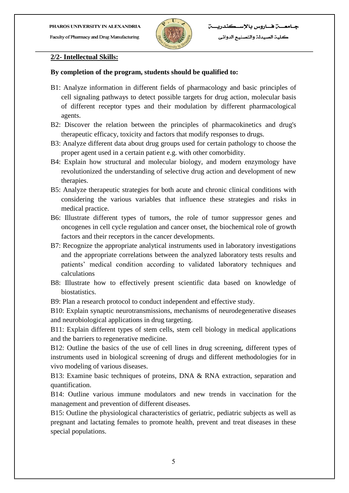

#### **2/2- Intellectual Skills:**

#### **By completion of the program, students should be qualified to:**

- B1: Analyze information in different fields of pharmacology and basic principles of cell signaling pathways to detect possible targets for drug action, molecular basis of different receptor types and their modulation by different pharmacological agents.
- B2: Discover the relation between the principles of pharmacokinetics and drug's therapeutic efficacy, toxicity and factors that modify responses to drugs.
- B3: Analyze different data about drug groups used for certain pathology to choose the proper agent used in a certain patient e.g. with other comorbidity.
- B4: Explain how structural and molecular biology, and modern enzymology have revolutionized the understanding of selective drug action and development of new therapies.
- B5: Analyze therapeutic strategies for both acute and chronic clinical conditions with considering the various variables that influence these strategies and risks in medical practice.
- B6: Illustrate different types of tumors, the role of tumor suppressor genes and oncogenes in cell cycle regulation and cancer onset, the biochemical role of growth factors and their receptors in the cancer developments.
- B7: Recognize the appropriate analytical instruments used in laboratory investigations and the appropriate correlations between the analyzed laboratory tests results and patients' medical condition according to validated laboratory techniques and calculations
- B8: Illustrate how to effectively present scientific data based on knowledge of biostatistics.
- B9: Plan a research protocol to conduct independent and effective study.

B10: Explain synaptic neurotransmissions, mechanisms of neurodegenerative diseases and neurobiological applications in drug targeting.

B11: Explain different types of stem cells, stem cell biology in medical applications and the barriers to regenerative medicine.

B12: Outline the basics of the use of cell lines in drug screening, different types of instruments used in biological screening of drugs and different methodologies for in vivo modeling of various diseases.

B13: Examine basic techniques of proteins, DNA & RNA extraction, separation and quantification.

B14: Outline various immune modulators and new trends in vaccination for the management and prevention of different diseases.

B15: Outline the physiological characteristics of geriatric, pediatric subjects as well as pregnant and lactating females to promote health, prevent and treat diseases in these special populations.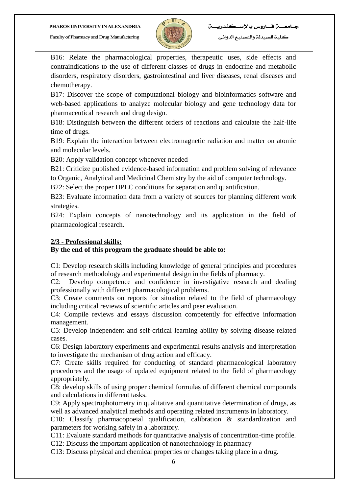

B16: Relate the pharmacological properties, therapeutic uses, side effects and contraindications to the use of different classes of drugs in endocrine and metabolic disorders, respiratory disorders, gastrointestinal and liver diseases, renal diseases and chemotherapy.

B17: Discover the scope of computational biology and bioinformatics software and web-based applications to analyze molecular biology and gene technology data for pharmaceutical research and drug design.

B18: Distinguish between the different orders of reactions and calculate the half-life time of drugs.

B19: Explain the interaction between electromagnetic radiation and matter on atomic and molecular levels.

B20: Apply validation concept whenever needed

B21: Criticize published evidence-based information and problem solving of relevance to Organic, Analytical and Medicinal Chemistry by the aid of computer technology.

B22: Select the proper HPLC conditions for separation and quantification.

B23: Evaluate information data from a variety of sources for planning different work strategies.

B24: Explain concepts of nanotechnology and its application in the field of pharmacological research.

#### **2/3 - Professional skills:**

#### **By the end of this program the graduate should be able to:**

C1: Develop research skills including knowledge of general principles and procedures of research methodology and experimental design in the fields of pharmacy.

C2: Develop competence and confidence in investigative research and dealing professionally with different pharmacological problems.

C3: Create comments on reports for situation related to the field of pharmacology including critical reviews of scientific articles and peer evaluation.

C4: Compile reviews and essays discussion competently for effective information management.

C5: Develop independent and self-critical learning ability by solving disease related cases.

C6: Design laboratory experiments and experimental results analysis and interpretation to investigate the mechanism of drug action and efficacy.

C7: Create skills required for conducting of standard pharmacological laboratory procedures and the usage of updated equipment related to the field of pharmacology appropriately.

C8: develop skills of using proper chemical formulas of different chemical compounds and calculations in different tasks.

C9: Apply spectrophotometry in qualitative and quantitative determination of drugs, as well as advanced analytical methods and operating related instruments in laboratory.

C10: Classify pharmacopoeial qualification, calibration & standardization and parameters for working safely in a laboratory.

C11: Evaluate standard methods for quantitative analysis of concentration-time profile.

C12: Discuss the important application of nanotechnology in pharmacy

C13: Discuss physical and chemical properties or changes taking place in a drug.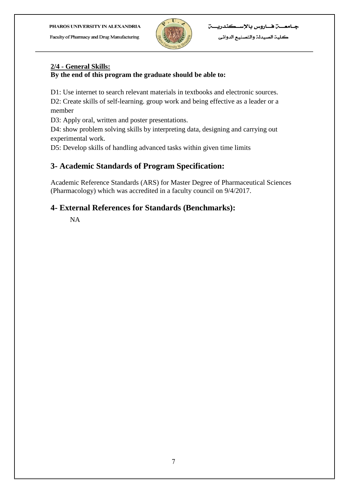Faculty of Pharmacy and Drug Manufacturing



## **2/4 - General Skills:**

#### **By the end of this program the graduate should be able to:**

D1: Use internet to search relevant materials in textbooks and electronic sources.

D2: Create skills of self-learning. group work and being effective as a leader or a member

D3: Apply oral, written and poster presentations.

D4: show problem solving skills by interpreting data, designing and carrying out experimental work.

D5: Develop skills of handling advanced tasks within given time limits

## **3- Academic Standards of Program Specification:**

Academic Reference Standards (ARS) for Master Degree of Pharmaceutical Sciences (Pharmacology) which was accredited in a faculty council on 9/4/2017.

### **4- External References for Standards (Benchmarks):**

NA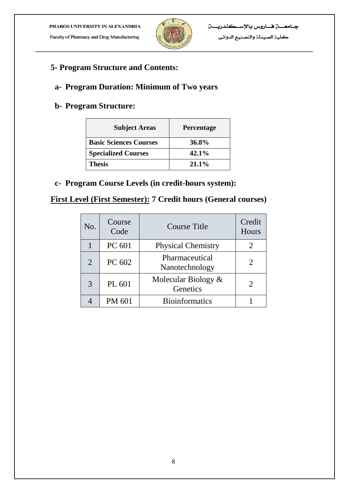Faculty of Pharmacy and Drug Manufacturing



**5- Program Structure and Contents:**

## **a- Program Duration: Minimum of Two years**

## **b- Program Structure:**

| <b>Subject Areas</b>          | <b>Percentage</b> |
|-------------------------------|-------------------|
| <b>Basic Sciences Courses</b> | 36.8%             |
| <b>Specialized Courses</b>    | $42.1\%$          |
| <b>Thesis</b>                 | $21.1\%$          |

**c- Program Course Levels (in credit-hours system):** 

## **First Level (First Semester): 7 Credit hours (General courses)**

| No.            | Course<br>Code | Course Title                     | Credit<br>Hours |
|----------------|----------------|----------------------------------|-----------------|
|                | PC 601         | <b>Physical Chemistry</b>        |                 |
| $\overline{2}$ | PC 602         | Pharmaceutical<br>Nanotechnology |                 |
| 3              | PL 601         | Molecular Biology &<br>Genetics  |                 |
|                | PM 601         | <b>Bioinformatics</b>            |                 |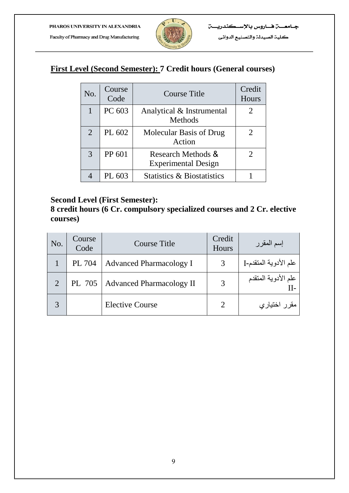

## **First Level (Second Semester): 7 Credit hours (General courses)**

| No.            | Course<br>Code | Course Title                                     | Credit<br>Hours |
|----------------|----------------|--------------------------------------------------|-----------------|
|                | PC 603         | Analytical & Instrumental<br>Methods             |                 |
| $\overline{2}$ | PL 602         | Molecular Basis of Drug<br>Action                |                 |
| 3              | PP 601         | Research Methods &<br><b>Experimental Design</b> |                 |
|                | PL 603         | <b>Statistics &amp; Biostatistics</b>            |                 |

### **Second Level (First Semester):**

**8 credit hours (6 Cr. compulsory specialized courses and 2 Cr. elective courses)**

| No. | Course<br>Code | <b>Course Title</b>               | Credit<br>Hours | إسم المقرر            |
|-----|----------------|-----------------------------------|-----------------|-----------------------|
|     | PL 704         | <b>Advanced Pharmacology I</b>    |                 | علم الأدوية المتقدم-I |
|     |                | PL 705   Advanced Pharmacology II | 3               | علم الأدوية المتقدم   |
|     |                | <b>Elective Course</b>            |                 | مقرر اختياري          |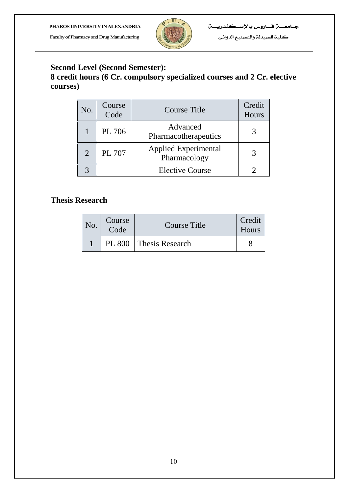Faculty of Pharmacy and Drug Manufacturing



كلية الصيدلة والتصنيع الدوائي

## **Second Level (Second Semester):**

## **8 credit hours (6 Cr. compulsory specialized courses and 2 Cr. elective courses)**

| No. | Course<br>Code | <b>Course Title</b>                         | Credit<br>Hours |
|-----|----------------|---------------------------------------------|-----------------|
|     | PL 706         | Advanced<br>Pharmacotherapeutics            |                 |
|     | PL 707         | <b>Applied Experimental</b><br>Pharmacology |                 |
|     |                | <b>Elective Course</b>                      |                 |

## **Thesis Research**

| No. | Course<br>Code | <b>Course Title</b>      | Credit<br><b>Hours</b> |
|-----|----------------|--------------------------|------------------------|
|     |                | PL 800   Thesis Research |                        |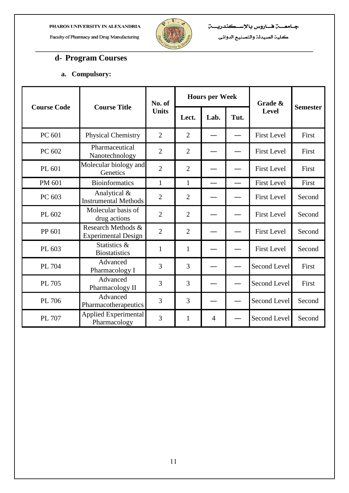Faculty of Pharmacy and Drug Manufacturing



كلية الصيدلة والتصنيع الدوائي

## **d- Program Courses**

#### **a. Compulsory:**

|                    |                                                  | No. of         |                | <b>Hours per Week</b> |      | Grade &            |                 |
|--------------------|--------------------------------------------------|----------------|----------------|-----------------------|------|--------------------|-----------------|
| <b>Course Code</b> | <b>Course Title</b>                              | <b>Units</b>   | Lect.          | Lab.                  | Tut. | Level              | <b>Semester</b> |
| PC 601             | <b>Physical Chemistry</b>                        | $\overline{2}$ | $\overline{2}$ |                       |      | <b>First Level</b> | First           |
| PC 602             | Pharmaceutical<br>Nanotechnology                 | $\overline{2}$ | $\overline{2}$ |                       |      | <b>First Level</b> | First           |
| PL 601             | Molecular biology and<br>Genetics                | $\overline{2}$ | $\overline{2}$ |                       |      | <b>First Level</b> | First           |
| PM 601             | <b>Bioinformatics</b>                            | $\mathbf{1}$   | $\mathbf{1}$   |                       |      | <b>First Level</b> | First           |
| PC 603             | Analytical &<br><b>Instrumental Methods</b>      | $\overline{2}$ | $\overline{2}$ |                       |      | <b>First Level</b> | Second          |
| PL 602             | Molecular basis of<br>drug actions               | $\overline{2}$ | $\overline{2}$ |                       |      | <b>First Level</b> | Second          |
| PP 601             | Research Methods &<br><b>Experimental Design</b> | $\overline{2}$ | $\overline{2}$ |                       |      | <b>First Level</b> | Second          |
| PL 603             | Statistics &<br><b>Biostatistics</b>             | $\mathbf{1}$   | $\mathbf{1}$   |                       |      | <b>First Level</b> | Second          |
| PL 704             | Advanced<br>Pharmacology I                       | 3              | 3              |                       |      | Second Level       | First           |
| PL 705             | Advanced<br>Pharmacology II                      | 3              | 3              |                       |      | Second Level       | First           |
| PL 706             | Advanced<br>Pharmacotherapeutics                 | 3              | 3              |                       |      | Second Level       | Second          |
| PL 707             | <b>Applied Experimental</b><br>Pharmacology      | 3              | $\mathbf{1}$   | $\overline{4}$        |      | Second Level       | Second          |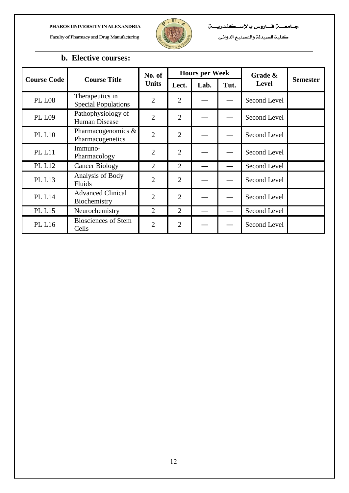Faculty of Pharmacy and Drug Manufacturing



كلية الصيدلة والتصنيع الدوائى

## **b. Elective courses:**

|                    |                                               | No. of         |                | <b>Hours per Week</b> |                      | Grade &      |                 |
|--------------------|-----------------------------------------------|----------------|----------------|-----------------------|----------------------|--------------|-----------------|
| <b>Course Code</b> | <b>Course Title</b>                           | <b>Units</b>   | Lect.<br>Lab.  |                       | <b>Level</b><br>Tut. |              | <b>Semester</b> |
| <b>PL L08</b>      | Therapeutics in<br><b>Special Populations</b> | $\overline{2}$ | $\overline{2}$ |                       |                      | Second Level |                 |
| <b>PL L09</b>      | Pathophysiology of<br>Human Disease           | $\overline{2}$ | $\overline{2}$ |                       |                      | Second Level |                 |
| <b>PL L10</b>      | Pharmacogenomics &<br>Pharmacogenetics        | $\overline{2}$ | $\overline{2}$ |                       |                      | Second Level |                 |
| <b>PL L11</b>      | Immuno-<br>Pharmacology                       | $\overline{2}$ | $\overline{2}$ |                       |                      | Second Level |                 |
| <b>PL L12</b>      | <b>Cancer Biology</b>                         | $\overline{2}$ | $\overline{2}$ |                       |                      | Second Level |                 |
| <b>PL L13</b>      | Analysis of Body<br><b>Fluids</b>             | $\overline{2}$ | $\overline{2}$ |                       |                      | Second Level |                 |
| <b>PL L14</b>      | <b>Advanced Clinical</b><br>Biochemistry      | $\overline{2}$ | $\overline{2}$ |                       |                      | Second Level |                 |
| <b>PL L15</b>      | Neurochemistry                                | $\overline{2}$ | $\overline{2}$ |                       |                      | Second Level |                 |
| <b>PL L16</b>      | <b>Biosciences of Stem</b><br>Cells           | $\overline{2}$ | $\overline{2}$ |                       |                      | Second Level |                 |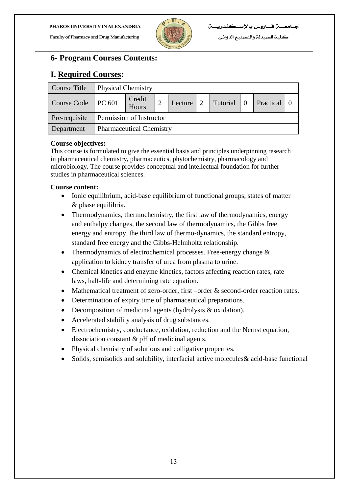Faculty of Pharmacy and Drug Manufacturing



## **6- Program Courses Contents:**

## **I. Required Courses:**

| Course Title  | <b>Physical Chemistry</b>       |                                 |                |         |            |              |  |               |  |  |
|---------------|---------------------------------|---------------------------------|----------------|---------|------------|--------------|--|---------------|--|--|
| Course Code   | $\vert$ PC 601                  | Credit<br>Hours                 | $\overline{2}$ | Lecture | $\sqrt{2}$ | Tutorial   0 |  | Practical   0 |  |  |
| Pre-requisite | <b>Permission of Instructor</b> |                                 |                |         |            |              |  |               |  |  |
| Department    |                                 | <b>Pharmaceutical Chemistry</b> |                |         |            |              |  |               |  |  |

#### **Course objectives:**

This course is formulated to give the essential basis and principles underpinning research in pharmaceutical chemistry, pharmaceutics, phytochemistry, pharmacology and microbiology. The course provides conceptual and intellectual foundation for further studies in pharmaceutical sciences.

- Ionic equilibrium, acid-base equilibrium of functional groups, states of matter & phase equilibria.
- Thermodynamics, thermochemistry, the first law of thermodynamics, energy and enthalpy changes, the second law of thermodynamics, the Gibbs free energy and entropy, the third law of thermo-dynamics, the standard entropy, standard free energy and the Gibbs-Helmholtz relationship.
- Thermodynamics of electrochemical processes. Free-energy change  $\&$ application to kidney transfer of urea from plasma to urine.
- Chemical kinetics and enzyme kinetics, factors affecting reaction rates, rate laws, half-life and determining rate equation.
- Mathematical treatment of zero-order, first –order & second-order reaction rates.
- Determination of expiry time of pharmaceutical preparations.
- Decomposition of medicinal agents (hydrolysis & oxidation).
- Accelerated stability analysis of drug substances.
- Electrochemistry, conductance, oxidation, reduction and the Nernst equation, dissociation constant & pH of medicinal agents.
- Physical chemistry of solutions and colligative properties.
- Solids, semisolids and solubility, interfacial active molecules& acid-base functional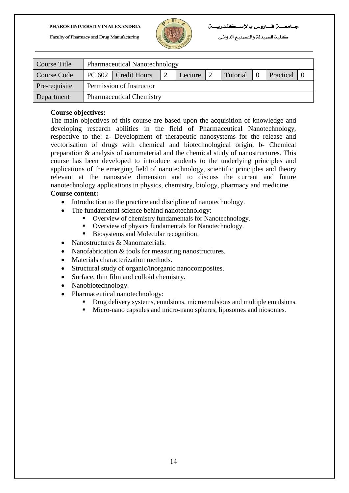

كلية الصيدلة والتصنيع الدوائي

| Course Title       | <b>Pharmaceutical Nanotechnology</b> |                                                           |  |  |  |  |  |  |
|--------------------|--------------------------------------|-----------------------------------------------------------|--|--|--|--|--|--|
| <b>Course Code</b> |                                      | PC 602 Credit Hours<br>Tutorial<br>Practical 0<br>Lecture |  |  |  |  |  |  |
| Pre-requisite      | Permission of Instructor             |                                                           |  |  |  |  |  |  |
| Department         | <b>Pharmaceutical Chemistry</b>      |                                                           |  |  |  |  |  |  |

#### **Course objectives:**

The main objectives of this course are based upon the acquisition of knowledge and developing research abilities in the field of Pharmaceutical Nanotechnology, respective to the: a- Development of therapeutic nanosystems for the release and vectorisation of drugs with chemical and biotechnological origin, b- Chemical preparation & analysis of nanomaterial and the chemical study of nanostructures. This course has been developed to introduce students to the underlying principles and applications of the emerging field of nanotechnology, scientific principles and theory relevant at the nanoscale dimension and to discuss the current and future nanotechnology applications in physics, chemistry, biology, pharmacy and medicine.

- Introduction to the practice and discipline of nanotechnology.
- The fundamental science behind nanotechnology:
	- Overview of chemistry fundamentals for Nanotechnology.
	- Overview of physics fundamentals for Nanotechnology.
	- Biosystems and Molecular recognition.
- Nanostructures & Nanomaterials.
- Nanofabrication & tools for measuring nanostructures.
- Materials characterization methods.
- Structural study of organic/inorganic nanocomposites.
- Surface, thin film and colloid chemistry.
- Nanobiotechnology.
- Pharmaceutical nanotechnology:
	- Drug delivery systems, emulsions, microemulsions and multiple emulsions.
	- Micro-nano capsules and micro-nano spheres, liposomes and niosomes.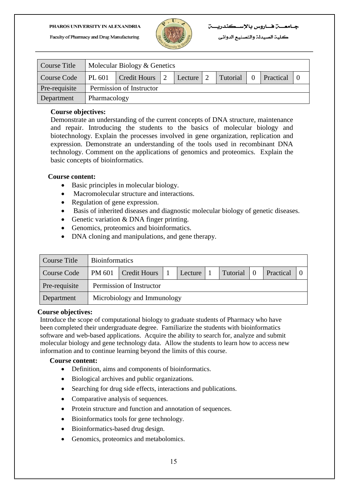

كلية الصيدلة والتصنيع الدوائي

| <b>Course Title</b> |        | Molecular Biology & Genetics                         |  |  |  |  |  |  |  |
|---------------------|--------|------------------------------------------------------|--|--|--|--|--|--|--|
| Course Code         | PL 601 | Credit Hours 2<br>Tutorial<br>Lecture 2<br>Practical |  |  |  |  |  |  |  |
| Pre-requisite       |        | Permission of Instructor                             |  |  |  |  |  |  |  |
| Department          |        | Pharmacology                                         |  |  |  |  |  |  |  |

#### **Course objectives:**

Demonstrate an understanding of the current concepts of DNA structure, maintenance and repair. Introducing the students to the basics of molecular biology and biotechnology. Explain the processes involved in gene organization, replication and expression. Demonstrate an understanding of the tools used in recombinant DNA technology. Comment on the applications of genomics and proteomics. Explain the basic concepts of bioinformatics.

#### **Course content:**

- Basic principles in molecular biology.
- Macromolecular structure and interactions.
- Regulation of gene expression.
- Basis of inherited diseases and diagnostic molecular biology of genetic diseases.
- Genetic variation & DNA finger printing.
- Genomics, proteomics and bioinformatics.
- DNA cloning and manipulations, and gene therapy.

| Course Title  |        | <b>Bioinformatics</b>                                                |  |  |  |  |  |  |  |  |
|---------------|--------|----------------------------------------------------------------------|--|--|--|--|--|--|--|--|
| Course Code   | PM 601 | Tutorial<br>$\overline{0}$<br>Credit Hours 1<br>Practical<br>Lecture |  |  |  |  |  |  |  |  |
| Pre-requisite |        | Permission of Instructor                                             |  |  |  |  |  |  |  |  |
| Department    |        | Microbiology and Immunology                                          |  |  |  |  |  |  |  |  |

#### **Course objectives:**

Introduce the scope of computational biology to graduate students of Pharmacy who have been completed their undergraduate degree. Familiarize the students with bioinformatics software and web-based applications. Acquire the ability to search for, analyze and submit molecular biology and gene technology data. Allow the students to learn how to access new information and to continue learning beyond the limits of this course.

- Definition, aims and components of bioinformatics.
- Biological archives and public organizations.
- Searching for drug side effects, interactions and publications.
- Comparative analysis of sequences.
- Protein structure and function and annotation of sequences.
- Bioinformatics tools for gene technology.
- Bioinformatics-based drug design.
- Genomics, proteomics and metabolomics.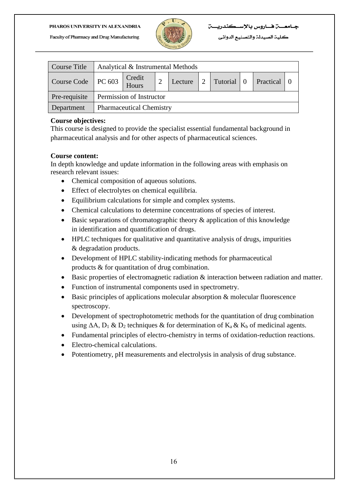

كلية الصيدلة والتصنيع الدوائي

| Course Title  |                | Analytical & Instrumental Methods |  |         |  |              |  |           |  |  |  |
|---------------|----------------|-----------------------------------|--|---------|--|--------------|--|-----------|--|--|--|
| Course Code   | $\vert$ PC 603 | Credit<br>Hours                   |  | Lecture |  | Tutorial   0 |  | Practical |  |  |  |
| Pre-requisite |                | Permission of Instructor          |  |         |  |              |  |           |  |  |  |
| Department    |                | <b>Pharmaceutical Chemistry</b>   |  |         |  |              |  |           |  |  |  |

#### **Course objectives:**

This course is designed to provide the specialist essential fundamental background in pharmaceutical analysis and for other aspects of pharmaceutical sciences.

#### **Course content:**

In depth knowledge and update information in the following areas with emphasis on research relevant issues:

- Chemical composition of aqueous solutions.
- Effect of electrolytes on chemical equilibria.
- Equilibrium calculations for simple and complex systems.
- Chemical calculations to determine concentrations of species of interest.
- Basic separations of chromatographic theory & application of this knowledge in identification and quantification of drugs.
- HPLC techniques for qualitative and quantitative analysis of drugs, impurities & degradation products.
- Development of HPLC stability-indicating methods for pharmaceutical products & for quantitation of drug combination.
- Basic properties of electromagnetic radiation & interaction between radiation and matter.
- Function of instrumental components used in spectrometry.
- Basic principles of applications molecular absorption & molecular fluorescence spectroscopy.
- Development of spectrophotometric methods for the quantitation of drug combination using  $\Delta A$ ,  $D_1 \& D_2$  techniques  $\&$  for determination of  $K_a \& K_b$  of medicinal agents.
- Fundamental principles of electro-chemistry in terms of oxidation-reduction reactions.
- Electro-chemical calculations.
- Potentiometry, pH measurements and electrolysis in analysis of drug substance.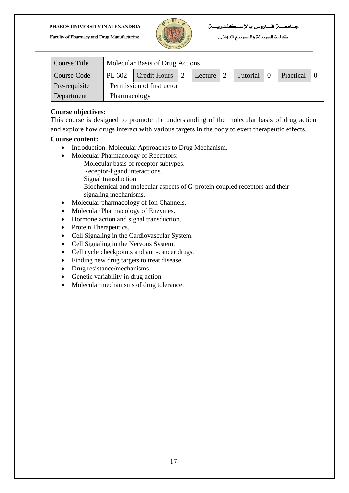

#### 

كلية الصيدلة والتصنيع الدوائي

| Course Title  |              | Molecular Basis of Drug Actions                             |  |  |  |  |  |  |  |
|---------------|--------------|-------------------------------------------------------------|--|--|--|--|--|--|--|
| Course Code   |              | Tutorial 0<br>Practical<br>PL 602   Credit Hours<br>Lecture |  |  |  |  |  |  |  |
| Pre-requisite |              | Permission of Instructor                                    |  |  |  |  |  |  |  |
| Department    | Pharmacology |                                                             |  |  |  |  |  |  |  |

#### **Course objectives:**

This course is designed to promote the understanding of the molecular basis of drug action and explore how drugs interact with various targets in the body to exert therapeutic effects.

- Introduction: Molecular Approaches to Drug Mechanism.
- Molecular Pharmacology of Receptors:
	- Molecular basis of receptor subtypes.
	- Receptor-ligand interactions.
	- Signal transduction.
	- Biochemical and molecular aspects of G-protein coupled receptors and their signaling mechanisms.
- Molecular pharmacology of Ion Channels.
- Molecular Pharmacology of Enzymes.
- Hormone action and signal transduction.
- Protein Therapeutics.
- Cell Signaling in the Cardiovascular System.
- Cell Signaling in the Nervous System.
- Cell cycle checkpoints and anti-cancer drugs.
- Finding new drug targets to treat disease.
- Drug resistance/mechanisms.
- Genetic variability in drug action.
- Molecular mechanisms of drug tolerance.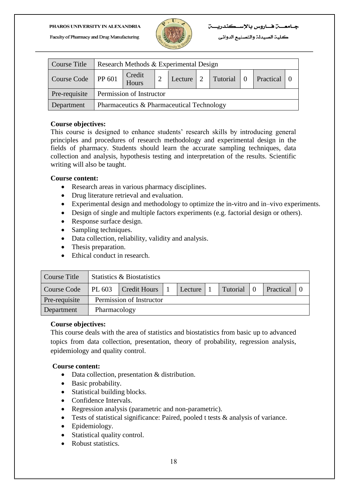

كلية الصيدلة والتصنيع الدوائي

| Course Title         | Research Methods & Experimental Design             |  |  |  |  |  |  |  |  |
|----------------------|----------------------------------------------------|--|--|--|--|--|--|--|--|
| Course Code   PP 601 | Credit<br>Hours<br>Tutorial 0 Practical<br>Lecture |  |  |  |  |  |  |  |  |
| Pre-requisite        | Permission of Instructor                           |  |  |  |  |  |  |  |  |
| Department           | Pharmaceutics & Pharmaceutical Technology          |  |  |  |  |  |  |  |  |

#### **Course objectives:**

This course is designed to enhance students' research skills by introducing general principles and procedures of research methodology and experimental design in the fields of pharmacy. Students should learn the accurate sampling techniques, data collection and analysis, hypothesis testing and interpretation of the results. Scientific writing will also be taught.

#### **Course content:**

- Research areas in various pharmacy disciplines.
- Drug literature retrieval and evaluation.
- Experimental design and methodology to optimize the in-vitro and in–vivo experiments.
- Design of single and multiple factors experiments (e.g. factorial design or others).
- Response surface design.
- Sampling techniques.
- Data collection, reliability, validity and analysis.
- Thesis preparation.
- Ethical conduct in research.

| Course Title  |        | Statistics & Biostatistics                              |  |  |  |  |  |  |  |  |
|---------------|--------|---------------------------------------------------------|--|--|--|--|--|--|--|--|
| Course Code   | PL 603 | Practical<br>Tutorial<br><b>Credit Hours</b><br>Lecture |  |  |  |  |  |  |  |  |
| Pre-requisite |        | Permission of Instructor                                |  |  |  |  |  |  |  |  |
| Department    |        | Pharmacology                                            |  |  |  |  |  |  |  |  |

#### **Course objectives:**

This course deals with the area of statistics and biostatistics from basic up to advanced topics from data collection, presentation, theory of probability, regression analysis, epidemiology and quality control.

- Data collection, presentation & distribution.
- Basic probability.
- Statistical building blocks.
- Confidence Intervals.
- Regression analysis (parametric and non-parametric).
- Tests of statistical significance: Paired, pooled t tests & analysis of variance.
- Epidemiology.
- Statistical quality control.
- Robust statistics.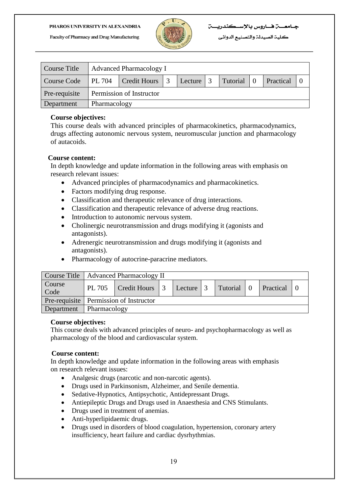

كلية الصيدلة والتصنيع الدوائي

| Course Title  |        | <b>Advanced Pharmacology I</b>                     |  |  |  |  |  |  |  |  |
|---------------|--------|----------------------------------------------------|--|--|--|--|--|--|--|--|
| Course Code   | PL 704 | Credit Hours 3<br>Tutorial<br>Practical<br>Lecture |  |  |  |  |  |  |  |  |
| Pre-requisite |        | Permission of Instructor                           |  |  |  |  |  |  |  |  |
| Department    |        | Pharmacology                                       |  |  |  |  |  |  |  |  |

#### **Course objectives:**

This course deals with advanced principles of pharmacokinetics, pharmacodynamics, drugs affecting autonomic nervous system, neuromuscular junction and pharmacology of autacoids.

#### **Course content:**

In depth knowledge and update information in the following areas with emphasis on research relevant issues:

- Advanced principles of pharmacodynamics and pharmacokinetics.
- Factors modifying drug response.
- Classification and therapeutic relevance of drug interactions.
- Classification and therapeutic relevance of adverse drug reactions.
- Introduction to autonomic nervous system.
- Cholinergic neurotransmission and drugs modifying it (agonists and antagonists).
- Adrenergic neurotransmission and drugs modifying it (agonists and antagonists).
- Pharmacology of autocrine-paracrine mediators.

|                | Course Title   Advanced Pharmacology II                |  |  |  |  |  |                  |  |  |
|----------------|--------------------------------------------------------|--|--|--|--|--|------------------|--|--|
| Course<br>Code | PL 705   Credit Hours   3   Lecture   3   Tutorial   0 |  |  |  |  |  | <b>Practical</b> |  |  |
|                | Pre-requisite   Permission of Instructor               |  |  |  |  |  |                  |  |  |
| Department     | $\Box$ Pharmacology                                    |  |  |  |  |  |                  |  |  |

#### **Course objectives:**

This course deals with advanced principles of neuro- and psychopharmacology as well as pharmacology of the blood and cardiovascular system.

#### **Course content:**

In depth knowledge and update information in the following areas with emphasis on research relevant issues:

- Analgesic drugs (narcotic and non-narcotic agents).
- Drugs used in Parkinsonism, Alzheimer, and Senile dementia.
- Sedative-Hypnotics, Antipsychotic, Antidepressant Drugs.
- Antiepileptic Drugs and Drugs used in Anaesthesia and CNS Stimulants.
- Drugs used in treatment of anemias.
- Anti-hyperlipidaemic drugs.
- Drugs used in disorders of blood coagulation, hypertension, coronary artery insufficiency, heart failure and cardiac dysrhythmias.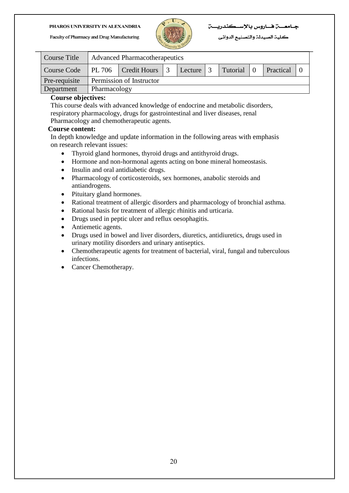

#### 

كلية الصيدلة والتصنيع الدوائي

| Course Title  | Advanced Pharmacotherapeutics                                    |  |  |  |  |  |  |  |
|---------------|------------------------------------------------------------------|--|--|--|--|--|--|--|
| Course Code   | PL 706   Credit Hours   3   Lecture   3<br>Tutorial<br>Practical |  |  |  |  |  |  |  |
| Pre-requisite | Permission of Instructor                                         |  |  |  |  |  |  |  |
| Department    | Pharmacology                                                     |  |  |  |  |  |  |  |

#### **Course objectives:**

This course deals with advanced knowledge of endocrine and metabolic disorders, respiratory pharmacology, drugs for gastrointestinal and liver diseases, renal Pharmacology and chemotherapeutic agents.

#### **Course content:**

In depth knowledge and update information in the following areas with emphasis on research relevant issues:

- Thyroid gland hormones, thyroid drugs and antithyroid drugs.
- Hormone and non-hormonal agents acting on bone mineral homeostasis.
- Insulin and oral antidiabetic drugs.
- Pharmacology of corticosteroids, sex hormones, anabolic steroids and antiandrogens.
- Pituitary gland hormones.
- Rational treatment of allergic disorders and pharmacology of bronchial asthma.
- Rational basis for treatment of allergic rhinitis and urticaria.
- Drugs used in peptic ulcer and reflux oesophagitis.
- Antiemetic agents.
- Drugs used in bowel and liver disorders, diuretics, antidiuretics, drugs used in urinary motility disorders and urinary antiseptics.
- Chemotherapeutic agents for treatment of bacterial, viral, fungal and tuberculous infections.
- Cancer Chemotherapy.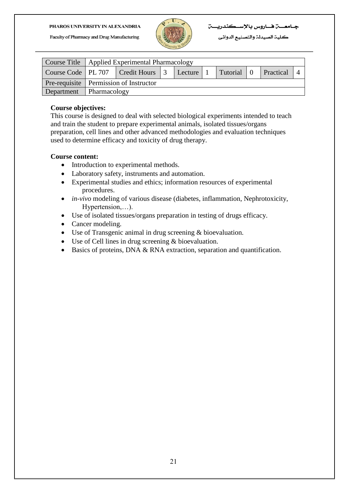

كلية الصيدلة والتصنيع الدوائي

|            |              | Course Title   Applied Experimental Pharmacology                                             |  |  |  |  |  |  |  |  |
|------------|--------------|----------------------------------------------------------------------------------------------|--|--|--|--|--|--|--|--|
|            |              | Course Code   PL 707   Credit Hours   3   Lecture   1<br>Tutorial 0<br><b>Practical</b><br>4 |  |  |  |  |  |  |  |  |
|            |              | Pre-requisite   Permission of Instructor                                                     |  |  |  |  |  |  |  |  |
| Department | Pharmacology |                                                                                              |  |  |  |  |  |  |  |  |

#### **Course objectives:**

This course is designed to deal with selected biological experiments intended to teach and train the student to prepare experimental animals, isolated tissues/organs preparation, cell lines and other advanced methodologies and evaluation techniques used to determine efficacy and toxicity of drug therapy.

- Introduction to experimental methods.
- Laboratory safety, instruments and automation.
- Experimental studies and ethics; information resources of experimental procedures.
- *in-vivo* modeling of various disease (diabetes, inflammation, Nephrotoxicity, Hypertension,…).
- Use of isolated tissues/organs preparation in testing of drugs efficacy.
- Cancer modeling.
- Use of Transgenic animal in drug screening & bioevaluation.
- Use of Cell lines in drug screening & bioevaluation.
- Basics of proteins, DNA & RNA extraction, separation and quantification.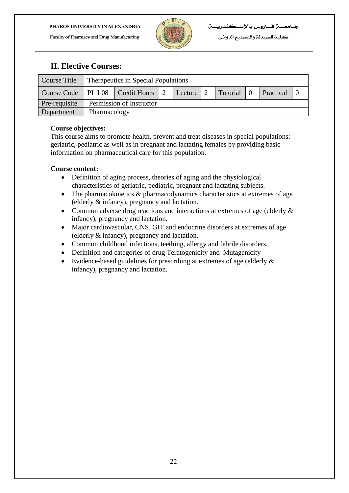

كلية الصيدلة والتصنيع الدوائي

## **II. Elective Courses:**

| Course Title  | Therapeutics in Special Populations                                                    |  |  |  |  |  |  |  |  |
|---------------|----------------------------------------------------------------------------------------|--|--|--|--|--|--|--|--|
|               | Course Code   PL L08   Credit Hours   2<br>Tutorial 0<br><b>Practical</b><br>Lecture 2 |  |  |  |  |  |  |  |  |
| Pre-requisite | Permission of Instructor                                                               |  |  |  |  |  |  |  |  |
| Department    | Pharmacology                                                                           |  |  |  |  |  |  |  |  |

#### **Course objectives:**

This course aims to promote health, prevent and treat diseases in special populations: geriatric, pediatric as well as in pregnant and lactating females by providing basic information on pharmaceutical care for this population.

- Definition of aging process, theories of aging and the physiological characteristics of geriatric, pediatric, pregnant and lactating subjects.
- The pharmacokinetics & pharmacodynamics characteristics at extremes of age (elderly & infancy), pregnancy and lactation.
- Common adverse drug reactions and interactions at extremes of age (elderly  $\&$ infancy), pregnancy and lactation.
- Major cardiovascular, CNS, GIT and endocrine disorders at extremes of age (elderly & infancy), pregnancy and lactation.
- Common childhood infections, teething, allergy and febrile disorders.
- Definition and categories of drug Teratogenicity and Mutagenicity
- Evidence-based guidelines for prescribing at extremes of age (elderly & infancy), pregnancy and lactation.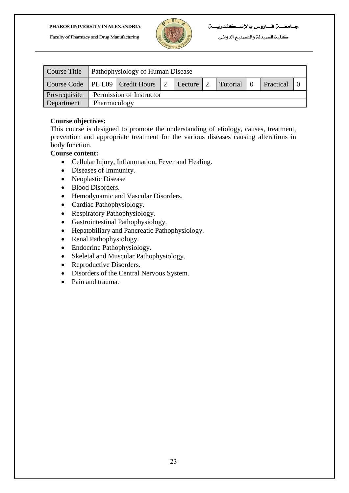

| Course Title  | <b>Pathophysiology of Human Disease</b>                                         |  |  |  |  |  |  |  |  |  |
|---------------|---------------------------------------------------------------------------------|--|--|--|--|--|--|--|--|--|
|               | Course Code   PL L09   Credit Hours   2<br>Tutorial 0<br>Lecture 2<br>Practical |  |  |  |  |  |  |  |  |  |
| Pre-requisite | Permission of Instructor                                                        |  |  |  |  |  |  |  |  |  |
| Department    | Pharmacology                                                                    |  |  |  |  |  |  |  |  |  |

#### **Course objectives:**

This course is designed to promote the understanding of etiology, causes, treatment, prevention and appropriate treatment for the various diseases causing alterations in body function.

- Cellular Injury, Inflammation, Fever and Healing.
- Diseases of Immunity.
- Neoplastic Disease
- Blood Disorders.
- Hemodynamic and Vascular Disorders.
- Cardiac Pathophysiology.
- Respiratory Pathophysiology.
- Gastrointestinal Pathophysiology.
- Hepatobiliary and Pancreatic Pathophysiology.
- Renal Pathophysiology.
- Endocrine Pathophysiology.
- Skeletal and Muscular Pathophysiology.
- Reproductive Disorders.
- Disorders of the Central Nervous System.
- Pain and trauma.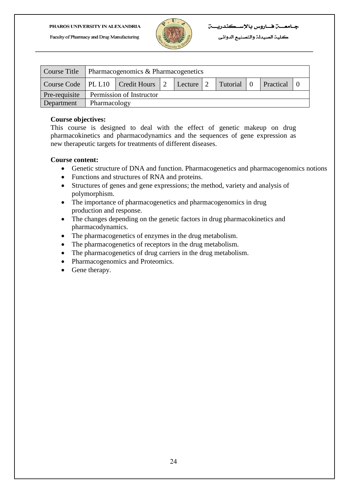

|               | Course Title   Pharmacogenomics & Pharmacogenetics |                                                                                     |  |  |  |  |  |  |  |
|---------------|----------------------------------------------------|-------------------------------------------------------------------------------------|--|--|--|--|--|--|--|
|               |                                                    | Course Code   PL L10   Credit Hours   2<br>  Tutorial   0<br>Lecture 2<br>Practical |  |  |  |  |  |  |  |
| Pre-requisite |                                                    | Permission of Instructor                                                            |  |  |  |  |  |  |  |
| Department    | Pharmacology                                       |                                                                                     |  |  |  |  |  |  |  |

#### **Course objectives:**

This course is designed to deal with the effect of genetic makeup on drug pharmacokinetics and pharmacodynamics and the sequences of gene expression as new therapeutic targets for treatments of different diseases.

- Genetic structure of DNA and function. Pharmacogenetics and pharmacogenomics notions
- Functions and structures of RNA and proteins.
- Structures of genes and gene expressions; the method, variety and analysis of polymorphism.
- The importance of pharmacogenetics and pharmacogenomics in drug production and response.
- The changes depending on the genetic factors in drug pharmacokinetics and pharmacodynamics.
- The pharmacogenetics of enzymes in the drug metabolism.
- The pharmacogenetics of receptors in the drug metabolism.
- The pharmacogenetics of drug carriers in the drug metabolism.
- Pharmacogenomics and Proteomics.
- Gene therapy.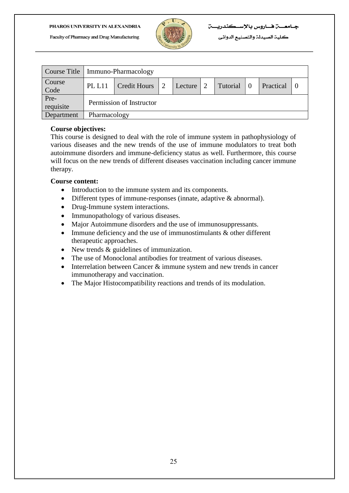

كلية الصيدلة والتصنيع الدوائي

|                   | Course Title   Immuno-Pharmacology |                          |  |         |   |          |  |           |  |
|-------------------|------------------------------------|--------------------------|--|---------|---|----------|--|-----------|--|
| Course<br>Code    | <b>PL L11</b>                      | <b>Credit Hours</b>      |  | Lecture | 2 | Tutorial |  | Practical |  |
| Pre-<br>requisite |                                    | Permission of Instructor |  |         |   |          |  |           |  |
| Department        |                                    | Pharmacology             |  |         |   |          |  |           |  |

#### **Course objectives:**

This course is designed to deal with the role of immune system in pathophysiology of various diseases and the new trends of the use of immune modulators to treat both autoimmune disorders and immune-deficiency status as well. Furthermore, this course will focus on the new trends of different diseases vaccination including cancer immune therapy.

- Introduction to the immune system and its components.
- Different types of immune-responses (innate, adaptive & abnormal).
- Drug-Immune system interactions.
- Immunopathology of various diseases.
- Major Autoimmune disorders and the use of immunosuppressants.
- Immune deficiency and the use of immunostimulants & other different therapeutic approaches.
- New trends & guidelines of immunization.
- The use of Monoclonal antibodies for treatment of various diseases.
- Interrelation between Cancer  $&$  immune system and new trends in cancer immunotherapy and vaccination.
- The Major Histocompatibility reactions and trends of its modulation.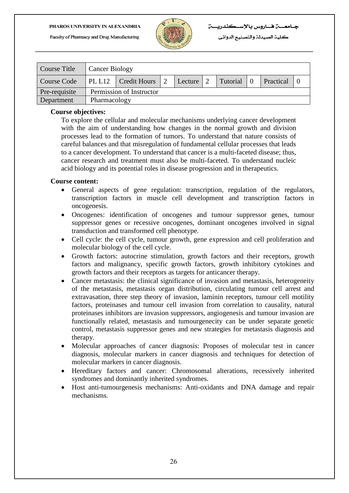Faculty of Pharmacy and Drug Manufacturing



كلية الصيدلة والتصنيع الدوائي

| <b>Course Title</b> | <b>Cancer Biology</b>    |              |  |           |  |            |           |  |
|---------------------|--------------------------|--------------|--|-----------|--|------------|-----------|--|
| Course Code         | $ $ PL L12               | Credit Hours |  | Lecture 2 |  | Tutorial 0 | Practical |  |
| Pre-requisite       | Permission of Instructor |              |  |           |  |            |           |  |
| Department          | Pharmacology             |              |  |           |  |            |           |  |

#### **Course objectives:**

To explore the cellular and molecular mechanisms underlying cancer development with the aim of understanding how changes in the normal growth and division processes lead to the formation of tumors. To understand that nature consists of careful balances and that misregulation of fundamental cellular processes that leads to a cancer development. To understand that cancer is a multi-faceted disease; thus, cancer research and treatment must also be multi-faceted. To understand nucleic acid biology and its potential roles in disease progression and in therapeutics.

- General aspects of gene regulation: transcription, regulation of the regulators, transcription factors in muscle cell development and transcription factors in oncogenesis.
- Oncogenes: identification of oncogenes and tumour suppressor genes, tumour suppressor genes or recessive oncogenes, dominant oncogenes involved in signal transduction and transformed cell phenotype.
- Cell cycle: the cell cycle, tumour growth, gene expression and cell proliferation and molecular biology of the cell cycle.
- Growth factors: autocrine stimulation, growth factors and their receptors, growth factors and malignancy, specific growth factors, growth inhibitory cytokines and growth factors and their receptors as targets for anticancer therapy.
- Cancer metastasis: the clinical significance of invasion and metastasis, heterogeneity of the metastasis, metastasis organ distribution, circulating tumour cell arrest and extravasation, three step theory of invasion, laminin receptors, tumour cell motility factors, proteinases and tumour cell invasion from correlation to causality, natural proteinases inhibitors are invasion suppressors, angiogenesis and tumour invasion are functionally related, metastasis and tumourgenecity can be under separate genetic control, metastasis suppressor genes and new strategies for metastasis diagnosis and therapy.
- Molecular approaches of cancer diagnosis: Proposes of molecular test in cancer diagnosis, molecular markers in cancer diagnosis and techniques for detection of molecular markers in cancer diagnosis.
- Hereditary factors and cancer: Chromosomal alterations, recessively inherited syndromes and dominantly inherited syndromes.
- Host anti-tumourgenesis mechanisms: Anti-oxidants and DNA damage and repair mechanisms.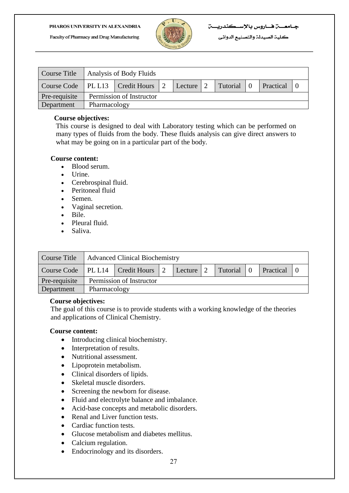

| Course Title  | Analysis of Body Fluids |                                         |  |           |  |            |  |           |  |
|---------------|-------------------------|-----------------------------------------|--|-----------|--|------------|--|-----------|--|
|               |                         | Course Code   PL L13   Credit Hours   2 |  | Lecture 2 |  | Tutorial 0 |  | Practical |  |
| Pre-requisite |                         | Permission of Instructor                |  |           |  |            |  |           |  |
| Department    |                         | Pharmacology                            |  |           |  |            |  |           |  |

#### **Course objectives:**

This course is designed to deal with Laboratory testing which can be performed on many types of fluids from the body. These fluids analysis can give direct answers to what may be going on in a particular part of the body.

#### **Course content:**

- [Blood serum.](http://en.wikipedia.org/wiki/Blood_serum)
- [Urine.](http://en.wikipedia.org/wiki/Urine)
- [Cerebrospinal fluid.](http://en.wikipedia.org/wiki/Cerebrospinal_fluid)
- [Peritoneal fluid](http://en.wikipedia.org/wiki/Peritoneal_fluid)
- [Semen.](http://en.wikipedia.org/wiki/Semen)
- [Vaginal secretion.](http://en.wikipedia.org/wiki/Vaginal_lubrication)
- [Bile.](http://en.wikipedia.org/wiki/Bile)
- [Pleural fluid.](http://en.wikipedia.org/wiki/Pleural_fluid)
- [Saliva.](http://en.wikipedia.org/wiki/Saliva)

| Course Title  | Advanced Clinical Biochemistry |                                                                                 |  |  |  |  |  |  |  |
|---------------|--------------------------------|---------------------------------------------------------------------------------|--|--|--|--|--|--|--|
|               |                                | Course Code   PL L14   Credit Hours   2<br>Tutorial 0<br>Practical<br>Lecture 2 |  |  |  |  |  |  |  |
| Pre-requisite |                                | Permission of Instructor                                                        |  |  |  |  |  |  |  |
| Department    | Pharmacology                   |                                                                                 |  |  |  |  |  |  |  |

#### **Course objectives:**

The goal of this course is to provide students with a working knowledge of the theories and applications of Clinical Chemistry.

- Introducing clinical biochemistry.
- Interpretation of results.
- Nutritional assessment.
- Lipoprotein metabolism.
- Clinical disorders of lipids.
- Skeletal muscle disorders.
- Screening the newborn for disease.
- Fluid and electrolyte balance and imbalance.
- Acid-base concepts and metabolic disorders.
- Renal and Liver function tests.
- Cardiac function tests.
- Glucose metabolism and diabetes mellitus.
- Calcium regulation.
- Endocrinology and its disorders.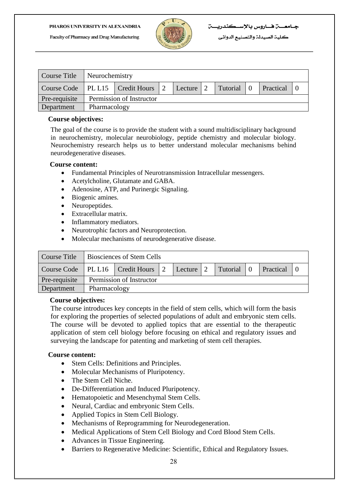

|                                         | Course Title   Neurochemistry |              |  |              |  |            |  |           |  |
|-----------------------------------------|-------------------------------|--------------|--|--------------|--|------------|--|-----------|--|
| Course Code   PL L15   Credit Hours   2 |                               |              |  | Lecture $ 2$ |  | Tutorial 0 |  | Practical |  |
| Pre-requisite                           | Permission of Instructor      |              |  |              |  |            |  |           |  |
| Department                              |                               | Pharmacology |  |              |  |            |  |           |  |

#### **Course objectives:**

The goal of the course is to provide the student with a sound multidisciplinary background in neurochemistry, molecular neurobiology, peptide chemistry and molecular biology. Neurochemistry research helps us to better understand molecular mechanisms behind neurodegenerative diseases.

#### **Course content:**

- Fundamental Principles of Neurotransmission Intracellular messengers.
- Acetylcholine, Glutamate and GABA.
- Adenosine, ATP, and Purinergic Signaling.
- Biogenic amines.
- Neuropeptides.
- Extracellular matrix.
- Inflammatory mediators.
- Neurotrophic factors and Neuroprotection.
- Molecular mechanisms of neurodegenerative disease.

| Course Title  | <b>Biosciences of Stem Cells</b> |                                                                                 |  |  |  |  |  |  |
|---------------|----------------------------------|---------------------------------------------------------------------------------|--|--|--|--|--|--|
|               |                                  | Course Code   PL L16   Credit Hours   2<br>Tutorial 0<br>Practical<br>Lecture 2 |  |  |  |  |  |  |
| Pre-requisite | Permission of Instructor         |                                                                                 |  |  |  |  |  |  |
| Department    |                                  | Pharmacology                                                                    |  |  |  |  |  |  |

#### **Course objectives:**

The course introduces key concepts in the field of stem cells, which will form the basis for exploring the properties of selected populations of adult and embryonic stem cells. The course will be devoted to applied topics that are essential to the therapeutic application of stem cell biology before focusing on ethical and regulatory issues and surveying the landscape for patenting and marketing of stem cell therapies.

- Stem Cells: Definitions and Principles.
- Molecular Mechanisms of Pluripotency.
- The Stem Cell Niche.
- De-Differentiation and Induced Pluripotency.
- Hematopoietic and Mesenchymal Stem Cells.
- Neural, Cardiac and embryonic Stem Cells.
- Applied Topics in Stem Cell Biology.
- Mechanisms of Reprogramming for Neurodegeneration.
- Medical Applications of Stem Cell Biology and Cord Blood Stem Cells.
- Advances in Tissue Engineering.
- Barriers to Regenerative Medicine: Scientific, Ethical and Regulatory Issues.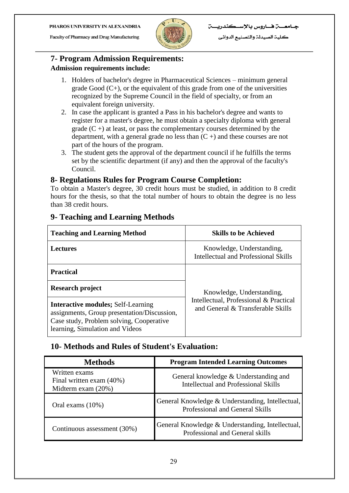Faculty of Pharmacy and Drug Manufacturing



كلية الصيدلة والتصنيع الدوائي

## **7- Program Admission Requirements: Admission requirements include:**

- 1. Holders of bachelor's degree in Pharmaceutical Sciences minimum general grade  $Good (C<sub>+</sub>)$ , or the equivalent of this grade from one of the universities recognized by the Supreme Council in the field of specialty, or from an equivalent foreign university.
- 2. In case the applicant is granted a Pass in his bachelor's degree and wants to register for a master's degree, he must obtain a specialty diploma with general grade  $(C +)$  at least, or pass the complementary courses determined by the department, with a general grade no less than  $(C +)$  and these courses are not part of the hours of the program.
- 3. The student gets the approval of the department council if he fulfills the terms set by the scientific department (if any) and then the approval of the faculty's Council.

## **8- Regulations Rules for Program Course Completion:**

To obtain a Master's degree, 30 credit hours must be studied, in addition to 8 credit hours for the thesis, so that the total number of hours to obtain the degree is no less than 38 credit hours.

| <b>Teaching and Learning Method</b>                                                                                                                                     | <b>Skills to be Achieved</b>                                                |  |  |  |
|-------------------------------------------------------------------------------------------------------------------------------------------------------------------------|-----------------------------------------------------------------------------|--|--|--|
| Lectures                                                                                                                                                                | Knowledge, Understanding,<br>Intellectual and Professional Skills           |  |  |  |
| <b>Practical</b>                                                                                                                                                        |                                                                             |  |  |  |
| Research project                                                                                                                                                        | Knowledge, Understanding,                                                   |  |  |  |
| <b>Interactive modules; Self-Learning</b><br>assignments, Group presentation/Discussion,<br>Case study, Problem solving, Cooperative<br>learning, Simulation and Videos | Intellectual, Professional & Practical<br>and General & Transferable Skills |  |  |  |

## **9- Teaching and Learning Methods**

## **10- Methods and Rules of Student's Evaluation:**

| <b>Methods</b>                                                    | <b>Program Intended Learning Outcomes</b>                                           |
|-------------------------------------------------------------------|-------------------------------------------------------------------------------------|
| Written exams<br>Final written exam (40%)<br>Midterm exam $(20%)$ | General knowledge & Understanding and<br>Intellectual and Professional Skills       |
| Oral exams (10%)                                                  | General Knowledge & Understanding, Intellectual,<br>Professional and General Skills |
| Continuous assessment (30%)                                       | General Knowledge & Understanding, Intellectual,<br>Professional and General skills |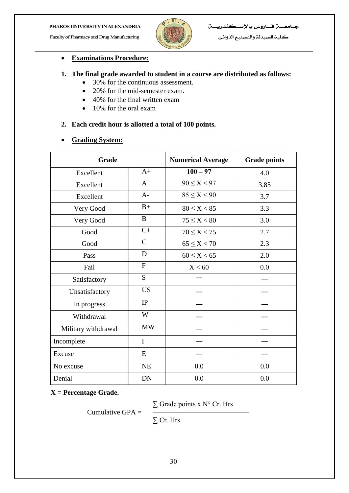Faculty of Pharmacy and Drug Manufacturing



كلية الصيدلة والتصنيع الدوائي

#### **Examinations Procedure:**

#### **1. The final grade awarded to student in a course are distributed as follows:**

- 30% for the continuous assessment.
- 20% for the mid-semester exam.
- 40% for the final written exam
- 10% for the oral exam

#### **2. Each credit hour is allotted a total of 100 points.**

#### **Grading System:**

| Grade               |              | <b>Numerical Average</b> | <b>Grade points</b> |
|---------------------|--------------|--------------------------|---------------------|
| Excellent           | $A+$         | $100 - 97$               | 4.0                 |
| Excellent           | $\mathbf{A}$ | $90 \le X < 97$          | 3.85                |
| Excellent           | $A-$         | $85 \leq X < 90$         | 3.7                 |
| Very Good           | $B+$         | $80 \le X < 85$          | 3.3                 |
| Very Good           | B            | $75 \leq X < 80$         | 3.0                 |
| Good                | $C+$         | $70 \le X < 75$          | 2.7                 |
| Good                | $\mathsf{C}$ | $65 \leq X < 70$         | 2.3                 |
| Pass                | D            | $60 \leq X < 65$         | 2.0                 |
| Fail                | $\mathbf{F}$ | X < 60                   | 0.0                 |
| Satisfactory        | S            |                          |                     |
| Unsatisfactory      | <b>US</b>    |                          |                     |
| In progress         | IP           |                          |                     |
| Withdrawal          | W            |                          |                     |
| Military withdrawal | <b>MW</b>    |                          |                     |
| Incomplete          | $\mathbf I$  |                          |                     |
| Excuse              | E            |                          |                     |
| No excuse           | NE           | 0.0                      | 0.0                 |
| Denial              | <b>DN</b>    | 0.0                      | 0.0                 |

**X = Percentage Grade.**

 $\Sigma$  Grade points x N° Cr. Hrs

Cumulative GPA  $=$ 

∑ Cr. Hrs